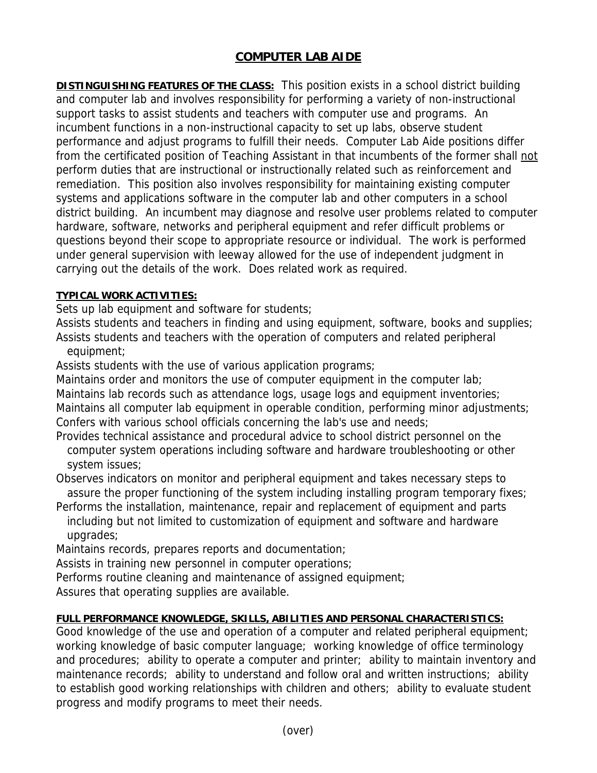## **COMPUTER LAB AIDE**

**DISTINGUISHING FEATURES OF THE CLASS:** This position exists in a school district building and computer lab and involves responsibility for performing a variety of non-instructional support tasks to assist students and teachers with computer use and programs. An incumbent functions in a non-instructional capacity to set up labs, observe student performance and adjust programs to fulfill their needs. Computer Lab Aide positions differ from the certificated position of Teaching Assistant in that incumbents of the former shall not perform duties that are instructional or instructionally related such as reinforcement and remediation. This position also involves responsibility for maintaining existing computer systems and applications software in the computer lab and other computers in a school district building. An incumbent may diagnose and resolve user problems related to computer hardware, software, networks and peripheral equipment and refer difficult problems or questions beyond their scope to appropriate resource or individual. The work is performed under general supervision with leeway allowed for the use of independent judgment in carrying out the details of the work. Does related work as required.

## **TYPICAL WORK ACTIVITIES:**

Sets up lab equipment and software for students;

Assists students and teachers in finding and using equipment, software, books and supplies; Assists students and teachers with the operation of computers and related peripheral

equipment;

Assists students with the use of various application programs;

Maintains order and monitors the use of computer equipment in the computer lab; Maintains lab records such as attendance logs, usage logs and equipment inventories; Maintains all computer lab equipment in operable condition, performing minor adjustments; Confers with various school officials concerning the lab's use and needs;

Provides technical assistance and procedural advice to school district personnel on the computer system operations including software and hardware troubleshooting or other system issues;

Observes indicators on monitor and peripheral equipment and takes necessary steps to assure the proper functioning of the system including installing program temporary fixes;

Performs the installation, maintenance, repair and replacement of equipment and parts including but not limited to customization of equipment and software and hardware upgrades;

Maintains records, prepares reports and documentation;

Assists in training new personnel in computer operations;

Performs routine cleaning and maintenance of assigned equipment;

Assures that operating supplies are available.

## **FULL PERFORMANCE KNOWLEDGE, SKILLS, ABILITIES AND PERSONAL CHARACTERISTICS:**

Good knowledge of the use and operation of a computer and related peripheral equipment; working knowledge of basic computer language; working knowledge of office terminology and procedures; ability to operate a computer and printer; ability to maintain inventory and maintenance records; ability to understand and follow oral and written instructions; ability to establish good working relationships with children and others; ability to evaluate student progress and modify programs to meet their needs.